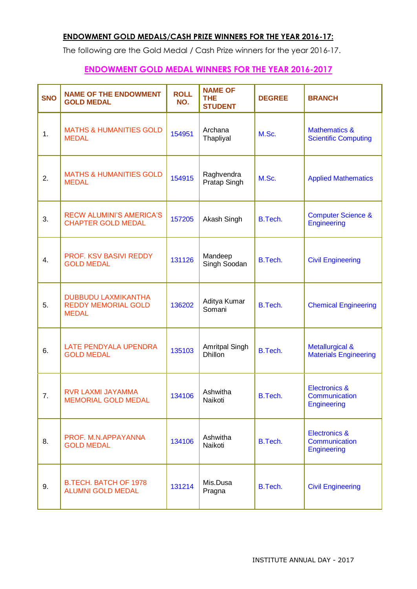## **ENDOWMENT GOLD MEDALS/CASH PRIZE WINNERS FOR THE YEAR 2016-17:**

The following are the Gold Medal / Cash Prize winners for the year 2016-17.

## **ENDOWMENT GOLD MEDAL WINNERS FOR THE YEAR 2016-2017**

| <b>SNO</b> | <b>NAME OF THE ENDOWMENT</b><br><b>GOLD MEDAL</b>                        | <b>ROLL</b><br>NO. | <b>NAME OF</b><br><b>THE</b><br><b>STUDENT</b> | <b>DEGREE</b> | <b>BRANCH</b>                                                   |
|------------|--------------------------------------------------------------------------|--------------------|------------------------------------------------|---------------|-----------------------------------------------------------------|
| 1.         | <b>MATHS &amp; HUMANITIES GOLD</b><br><b>MEDAL</b>                       | 154951             | Archana<br>Thapliyal                           | M.Sc.         | <b>Mathematics &amp;</b><br><b>Scientific Computing</b>         |
| 2.         | <b>MATHS &amp; HUMANITIES GOLD</b><br><b>MEDAL</b>                       | 154915             | Raghvendra<br>Pratap Singh                     | M.Sc.         | <b>Applied Mathematics</b>                                      |
| 3.         | <b>RECW ALUMINI'S AMERICA'S</b><br><b>CHAPTER GOLD MEDAL</b>             | 157205             | Akash Singh                                    | B.Tech.       | <b>Computer Science &amp;</b><br>Engineering                    |
| 4.         | PROF. KSV BASIVI REDDY<br><b>GOLD MEDAL</b>                              | 131126             | Mandeep<br>Singh Soodan                        | B.Tech.       | <b>Civil Engineering</b>                                        |
| 5.         | <b>DUBBUDU LAXMIKANTHA</b><br><b>REDDY MEMORIAL GOLD</b><br><b>MEDAL</b> | 136202             | Aditya Kumar<br>Somani                         | B.Tech.       | <b>Chemical Engineering</b>                                     |
| 6.         | LATE PENDYALA UPENDRA<br><b>GOLD MEDAL</b>                               | 135103             | Amritpal Singh<br><b>Dhillon</b>               | B.Tech.       | <b>Metallurgical &amp;</b><br><b>Materials Engineering</b>      |
| 7.         | RVR LAXMI JAYAMMA<br><b>MEMORIAL GOLD MEDAL</b>                          | 134106             | Ashwitha<br>Naikoti                            | B.Tech.       | <b>Electronics &amp;</b><br>Communication<br>Engineering        |
| 8.         | PROF. M.N.APPAYANNA<br><b>GOLD MEDAL</b>                                 | 134106             | Ashwitha<br>Naikoti                            | B.Tech.       | <b>Electronics &amp;</b><br>Communication<br><b>Engineering</b> |
| 9.         | <b>B.TECH. BATCH OF 1978</b><br><b>ALUMNI GOLD MEDAL</b>                 | 131214             | Mis.Dusa<br>Pragna                             | B.Tech.       | <b>Civil Engineering</b>                                        |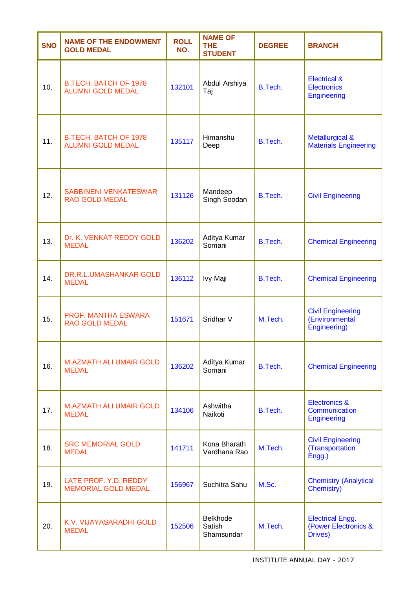| <b>SNO</b> | <b>NAME OF THE ENDOWMENT</b><br><b>GOLD MEDAL</b>        | <b>ROLL</b><br>NO. | <b>NAME OF</b><br><b>THE</b><br><b>STUDENT</b> | <b>DEGREE</b> | <b>BRANCH</b>                                                       |
|------------|----------------------------------------------------------|--------------------|------------------------------------------------|---------------|---------------------------------------------------------------------|
| 10.        | <b>B.TECH. BATCH OF 1978</b><br><b>ALUMNI GOLD MEDAL</b> | 132101             | Abdul Arshiya<br>Taj                           | B.Tech.       | <b>Electrical &amp;</b><br><b>Electronics</b><br><b>Engineering</b> |
| 11.        | <b>B.TECH. BATCH OF 1978</b><br><b>ALUMNI GOLD MEDAL</b> | 135117             | Himanshu<br>Deep                               | B.Tech.       | <b>Metallurgical &amp;</b><br><b>Materials Engineering</b>          |
| 12.        | <b>SABBINENI VENKATESWAR</b><br><b>RAO GOLD MEDAL</b>    | 131126             | Mandeep<br>Singh Soodan                        | B.Tech.       | <b>Civil Engineering</b>                                            |
| 13.        | Dr. K. VENKAT REDDY GOLD<br><b>MEDAL</b>                 | 136202             | Aditya Kumar<br>Somani                         | B.Tech.       | <b>Chemical Engineering</b>                                         |
| 14.        | DR.R.L.UMASHANKAR GOLD<br><b>MEDAL</b>                   | 136112             | Ivy Maji                                       | B.Tech.       | <b>Chemical Engineering</b>                                         |
| 15.        | PROF. MANTHA ESWARA<br><b>RAO GOLD MEDAL</b>             | 151671             | Sridhar V                                      | M.Tech.       | <b>Civil Engineering</b><br>(Environmental<br>Engineering)          |
| 16.        | <b>M.AZMATH ALI UMAIR GOLD</b><br><b>MEDAL</b>           | 136202             | Aditya Kumar<br>Somani                         | B.Tech.       | <b>Chemical Engineering</b>                                         |
| 17.        | <b>M.AZMATH ALI UMAIR GOLD</b><br><b>MEDAL</b>           | 134106             | Ashwitha<br>Naikoti                            | B.Tech.       | <b>Electronics &amp;</b><br>Communication<br><b>Engineering</b>     |
| 18.        | <b>SRC MEMORIAL GOLD</b><br><b>MEDAL</b>                 | 141711             | Kona Bharath<br>Vardhana Rao                   | M.Tech.       | <b>Civil Engineering</b><br>(Transportation<br>Engg.)               |
| 19.        | LATE PROF. Y.D. REDDY<br><b>MEMORIAL GOLD MEDAL</b>      | 156967             | Suchitra Sahu                                  | M.Sc.         | <b>Chemistry (Analytical</b><br>Chemistry)                          |
| 20.        | K.V. VIJAYASARADHI GOLD<br><b>MEDAL</b>                  | 152506             | <b>Belkhode</b><br>Satish<br>Shamsundar        | M.Tech.       | <b>Electrical Engg.</b><br>(Power Electronics &<br>Drives)          |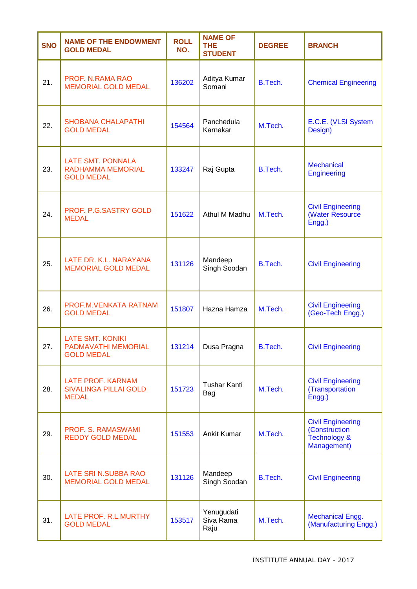| <b>SNO</b> | <b>NAME OF THE ENDOWMENT</b><br><b>GOLD MEDAL</b>                         | <b>ROLL</b><br>NO. | <b>NAME OF</b><br><b>THE</b><br><b>STUDENT</b> | <b>DEGREE</b> | <b>BRANCH</b>                                                            |
|------------|---------------------------------------------------------------------------|--------------------|------------------------------------------------|---------------|--------------------------------------------------------------------------|
| 21.        | PROF. N.RAMA RAO<br><b>MEMORIAL GOLD MEDAL</b>                            | 136202             | Aditya Kumar<br>Somani                         | B.Tech.       | <b>Chemical Engineering</b>                                              |
| 22.        | <b>SHOBANA CHALAPATHI</b><br><b>GOLD MEDAL</b>                            | 154564             | Panchedula<br>Karnakar                         | M.Tech.       | E.C.E. (VLSI System<br>Design)                                           |
| 23.        | <b>LATE SMT. PONNALA</b><br><b>RADHAMMA MEMORIAL</b><br><b>GOLD MEDAL</b> | 133247             | Raj Gupta                                      | B.Tech.       | <b>Mechanical</b><br>Engineering                                         |
| 24.        | PROF. P.G.SASTRY GOLD<br><b>MEDAL</b>                                     | 151622             | Athul M Madhu                                  | M.Tech.       | <b>Civil Engineering</b><br>(Water Resource<br>Engg.)                    |
| 25.        | LATE DR. K.L. NARAYANA<br><b>MEMORIAL GOLD MEDAL</b>                      | 131126             | Mandeep<br>Singh Soodan                        | B.Tech.       | <b>Civil Engineering</b>                                                 |
| 26.        | PROF.M.VENKATA RATNAM<br><b>GOLD MEDAL</b>                                | 151807             | Hazna Hamza                                    | M.Tech.       | <b>Civil Engineering</b><br>(Geo-Tech Engg.)                             |
| 27.        | <b>LATE SMT. KONIKI</b><br>PADMAVATHI MEMORIAL<br><b>GOLD MEDAL</b>       | 131214             | Dusa Pragna                                    | B.Tech.       | <b>Civil Engineering</b>                                                 |
| 28.        | <b>LATE PROF. KARNAM</b><br><b>SIVALINGA PILLAI GOLD</b><br><b>MEDAL</b>  | 151723             | <b>Tushar Kanti</b><br>Bag                     | M.Tech.       | <b>Civil Engineering</b><br>(Transportation<br>Engg.)                    |
| 29.        | PROF. S. RAMASWAMI<br><b>REDDY GOLD MEDAL</b>                             | 151553             | Ankit Kumar                                    | M.Tech.       | <b>Civil Engineering</b><br>(Construction<br>Technology &<br>Management) |
| 30.        | LATE SRI N.SUBBA RAO<br><b>MEMORIAL GOLD MEDAL</b>                        | 131126             | Mandeep<br>Singh Soodan                        | B.Tech.       | <b>Civil Engineering</b>                                                 |
| 31.        | LATE PROF. R.L.MURTHY<br><b>GOLD MEDAL</b>                                | 153517             | Yenugudati<br>Siva Rama<br>Raju                | M.Tech.       | <b>Mechanical Engg.</b><br>(Manufacturing Engg.)                         |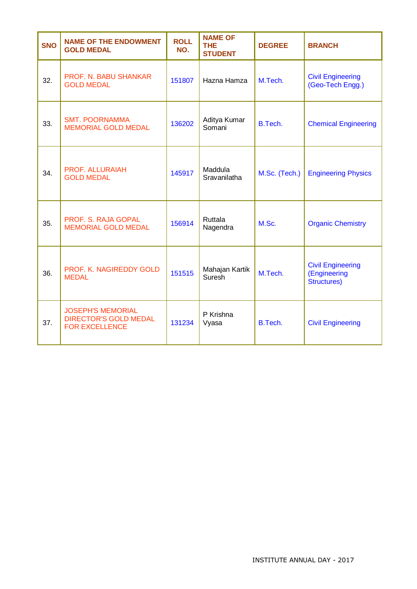| <b>SNO</b> | <b>NAME OF THE ENDOWMENT</b><br><b>GOLD MEDAL</b>                                 | <b>ROLL</b><br>NO. | <b>NAME OF</b><br><b>THE</b><br><b>STUDENT</b> | <b>DEGREE</b> | <b>BRANCH</b>                                                  |
|------------|-----------------------------------------------------------------------------------|--------------------|------------------------------------------------|---------------|----------------------------------------------------------------|
| 32.        | PROF. N. BABU SHANKAR<br><b>GOLD MEDAL</b>                                        | 151807             | Hazna Hamza                                    | M.Tech.       | <b>Civil Engineering</b><br>(Geo-Tech Engg.)                   |
| 33.        | <b>SMT. POORNAMMA</b><br><b>MEMORIAL GOLD MEDAL</b>                               | 136202             | Aditya Kumar<br>Somani                         | B.Tech.       | <b>Chemical Engineering</b>                                    |
| 34.        | <b>PROF. ALLURAIAH</b><br><b>GOLD MEDAL</b>                                       | 145917             | Maddula<br>Sravanilatha                        | M.Sc. (Tech.) | <b>Engineering Physics</b>                                     |
| 35.        | PROF. S. RAJA GOPAL<br><b>MEMORIAL GOLD MEDAL</b>                                 | 156914             | Ruttala<br>Nagendra                            | M.Sc.         | <b>Organic Chemistry</b>                                       |
| 36.        | PROF. K. NAGIREDDY GOLD<br><b>MEDAL</b>                                           | 151515             | Mahajan Kartik<br>Suresh                       | M.Tech.       | <b>Civil Engineering</b><br>(Engineering<br><b>Structures)</b> |
| 37.        | <b>JOSEPH'S MEMORIAL</b><br><b>DIRECTOR'S GOLD MEDAL</b><br><b>FOR EXCELLENCE</b> | 131234             | P Krishna<br>Vyasa                             | B.Tech.       | <b>Civil Engineering</b>                                       |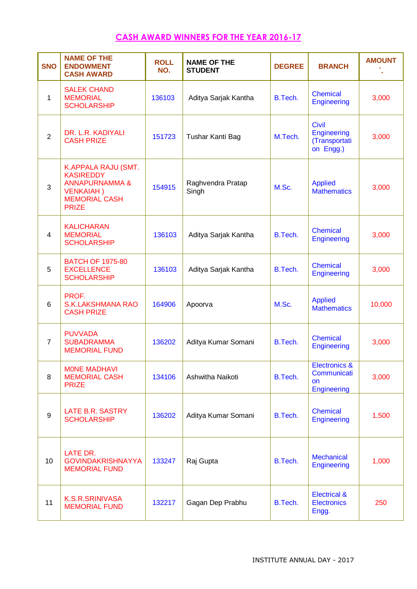## **CASH AWARD WINNERS FOR THE YEAR 2016-17**

| <b>SNO</b>     | <b>NAME OF THE</b><br><b>ENDOWMENT</b><br><b>CASH AWARD</b>                                                                       | <b>ROLL</b><br>NO. | <b>NAME OF THE</b><br><b>STUDENT</b> | <b>DEGREE</b> | <b>BRANCH</b>                                             | <b>AMOUNT</b> |
|----------------|-----------------------------------------------------------------------------------------------------------------------------------|--------------------|--------------------------------------|---------------|-----------------------------------------------------------|---------------|
| 1              | <b>SALEK CHAND</b><br><b>MEMORIAL</b><br><b>SCHOLARSHIP</b>                                                                       | 136103             | Aditya Sarjak Kantha                 | B.Tech.       | <b>Chemical</b><br>Engineering                            | 3,000         |
| $\overline{2}$ | DR. L.R. KADIYALI<br><b>CASH PRIZE</b>                                                                                            | 151723             | Tushar Kanti Bag                     | M.Tech.       | <b>Civil</b><br>Engineering<br>(Transportati<br>on Engg.) | 3,000         |
| 3              | K.APPALA RAJU (SMT.<br><b>KASIREDDY</b><br><b>ANNAPURNAMMA &amp;</b><br><b>VENKAIAH</b> )<br><b>MEMORIAL CASH</b><br><b>PRIZE</b> | 154915             | Raghvendra Pratap<br>Singh           | M.Sc.         | <b>Applied</b><br><b>Mathematics</b>                      | 3,000         |
| $\overline{4}$ | <b>KALICHARAN</b><br><b>MEMORIAL</b><br><b>SCHOLARSHIP</b>                                                                        | 136103             | Aditya Sarjak Kantha                 | B.Tech.       | <b>Chemical</b><br>Engineering                            | 3,000         |
| 5              | <b>BATCH OF 1975-80</b><br><b>EXCELLENCE</b><br><b>SCHOLARSHIP</b>                                                                | 136103             | Aditya Sarjak Kantha                 | B.Tech.       | <b>Chemical</b><br>Engineering                            | 3,000         |
| 6              | PROF.<br><b>S.K.LAKSHMANA RAO</b><br><b>CASH PRIZE</b>                                                                            | 164906             | Apoorva                              | M.Sc.         | <b>Applied</b><br><b>Mathematics</b>                      | 10,000        |
| $\overline{7}$ | <b>PUVVADA</b><br><b>SUBADRAMMA</b><br><b>MEMORIAL FUND</b>                                                                       | 136202             | Aditya Kumar Somani                  | B.Tech.       | <b>Chemical</b><br>Engineering                            | 3,000         |
| 8              | <b>MONE MADHAVI</b><br><b>MEMORIAL CASH</b><br><b>PRIZE</b>                                                                       | 134106             | Ashwitha Naikoti                     | B.Tech.       | Electronics &<br>Communicati<br><b>on</b><br>Engineering  | 3,000         |
| 9              | LATE B.R. SASTRY<br><b>SCHOLARSHIP</b>                                                                                            | 136202             | Aditya Kumar Somani                  | B.Tech.       | <b>Chemical</b><br><b>Engineering</b>                     | 1,500         |
| 10             | LATE DR.<br><b>GOVINDAKRISHNAYYA</b><br><b>MEMORIAL FUND</b>                                                                      | 133247             | Raj Gupta                            | B.Tech.       | <b>Mechanical</b><br><b>Engineering</b>                   | 1,000         |
| 11             | K.S.R.SRINIVASA<br><b>MEMORIAL FUND</b>                                                                                           | 132217             | Gagan Dep Prabhu                     | B.Tech.       | <b>Electrical &amp;</b><br><b>Electronics</b><br>Engg.    | 250           |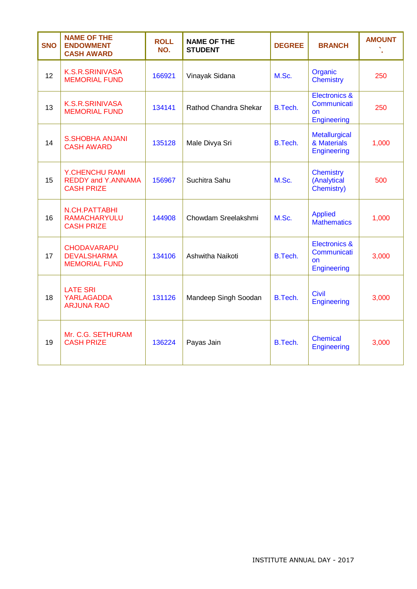| <b>SNO</b> | <b>NAME OF THE</b><br><b>ENDOWMENT</b><br><b>CASH AWARD</b>             | <b>ROLL</b><br>NO. | <b>NAME OF THE</b><br><b>STUDENT</b> | <b>DEGREE</b> | <b>BRANCH</b>                                                   | <b>AMOUNT</b> |
|------------|-------------------------------------------------------------------------|--------------------|--------------------------------------|---------------|-----------------------------------------------------------------|---------------|
| 12         | <b>K.S.R.SRINIVASA</b><br><b>MEMORIAL FUND</b>                          | 166921             | Vinayak Sidana                       | M.Sc.         | Organic<br><b>Chemistry</b>                                     | 250           |
| 13         | <b>K.S.R.SRINIVASA</b><br><b>MEMORIAL FUND</b>                          | 134141             | Rathod Chandra Shekar                | B.Tech.       | Electronics &<br>Communicati<br><b>on</b><br><b>Engineering</b> | 250           |
| 14         | <b>S.SHOBHA ANJANI</b><br><b>CASH AWARD</b>                             | 135128             | Male Divya Sri                       | B.Tech.       | Metallurgical<br>& Materials<br>Engineering                     | 1,000         |
| 15         | <b>Y.CHENCHU RAMI</b><br><b>REDDY and Y.ANNAMA</b><br><b>CASH PRIZE</b> | 156967             | Suchitra Sahu                        | M.Sc.         | <b>Chemistry</b><br>(Analytical<br>Chemistry)                   | 500           |
| 16         | N.CH.PATTABHI<br><b>RAMACHARYULU</b><br><b>CASH PRIZE</b>               | 144908             | Chowdam Sreelakshmi                  | M.Sc.         | <b>Applied</b><br><b>Mathematics</b>                            | 1,000         |
| 17         | <b>CHODAVARAPU</b><br><b>DEVALSHARMA</b><br><b>MEMORIAL FUND</b>        | 134106             | Ashwitha Naikoti                     | B.Tech.       | Electronics &<br>Communicati<br>on<br><b>Engineering</b>        | 3,000         |
| 18         | <b>LATE SRI</b><br><b>YARLAGADDA</b><br><b>ARJUNA RAO</b>               | 131126             | Mandeep Singh Soodan                 | B.Tech.       | <b>Civil</b><br><b>Engineering</b>                              | 3,000         |
| 19         | Mr. C.G. SETHURAM<br><b>CASH PRIZE</b>                                  | 136224             | Payas Jain                           | B.Tech.       | <b>Chemical</b><br><b>Engineering</b>                           | 3,000         |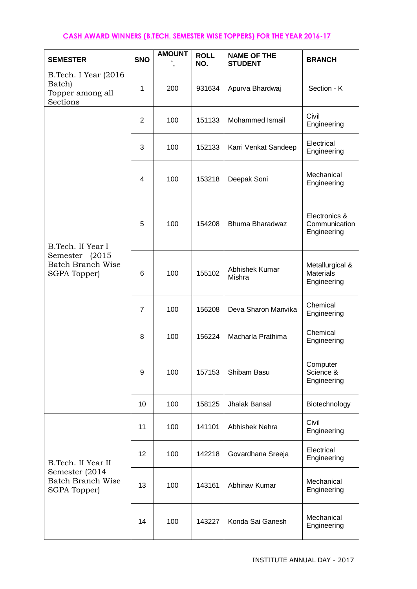## **CASH AWARD WINNERS (B.TECH. SEMESTER WISE TOPPERS) FOR THE YEAR 2016-17**

| <b>SEMESTER</b>                                                | <b>SNO</b>     | <b>AMOUNT</b> | <b>ROLL</b><br>NO. | <b>NAME OF THE</b><br><b>STUDENT</b> | <b>BRANCH</b>                                      |
|----------------------------------------------------------------|----------------|---------------|--------------------|--------------------------------------|----------------------------------------------------|
| B.Tech. I Year (2016<br>Batch)<br>Topper among all<br>Sections | 1              | 200           | 931634             | Apurva Bhardwaj                      | Section - K                                        |
|                                                                | $\overline{2}$ | 100           | 151133             | Mohammed Ismail                      | Civil<br>Engineering                               |
|                                                                | 3              | 100           | 152133             | Karri Venkat Sandeep                 | Electrical<br>Engineering                          |
|                                                                | 4              | 100           | 153218             | Deepak Soni                          | Mechanical<br>Engineering                          |
| B.Tech. II Year I                                              | 5              | 100           | 154208             | Bhuma Bharadwaz                      | Electronics &<br>Communication<br>Engineering      |
| Semester (2015<br><b>Batch Branch Wise</b><br>SGPA Topper)     | 6              | 100           | 155102             | Abhishek Kumar<br>Mishra             | Metallurgical &<br><b>Materials</b><br>Engineering |
|                                                                | $\overline{7}$ | 100           | 156208             | Deva Sharon Manvika                  | Chemical<br>Engineering                            |
|                                                                | 8              | 100           | 156224             | Macharla Prathima                    | Chemical<br>Engineering                            |
|                                                                | 9              | 100           | 157153             | Shibam Basu                          | Computer<br>Science &<br>Engineering               |
|                                                                | 10             | 100           | 158125             | Jhalak Bansal                        | Biotechnology                                      |
|                                                                | 11             | 100           | 141101             | Abhishek Nehra                       | Civil<br>Engineering                               |
| B.Tech. II Year II                                             | 12             | 100           | 142218             | Govardhana Sreeja                    | Electrical<br>Engineering                          |
| Semester (2014<br><b>Batch Branch Wise</b><br>SGPA Topper)     | 13             | 100           | 143161             | Abhinav Kumar                        | Mechanical<br>Engineering                          |
|                                                                | 14             | 100           | 143227             | Konda Sai Ganesh                     | Mechanical<br>Engineering                          |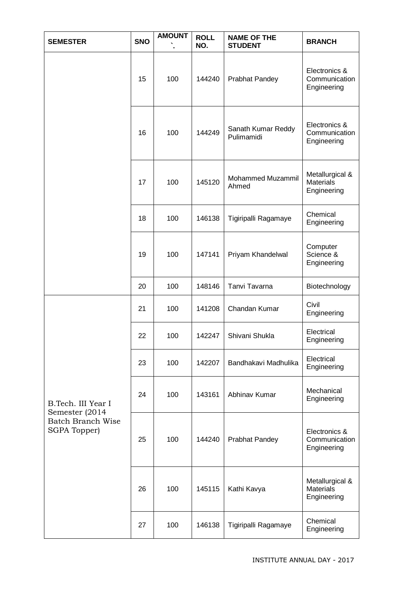| <b>SEMESTER</b>                                 | <b>SNO</b> | <b>AMOUNT</b> | <b>ROLL</b><br>NO. | <b>NAME OF THE</b><br><b>STUDENT</b> | <b>BRANCH</b>                                      |
|-------------------------------------------------|------------|---------------|--------------------|--------------------------------------|----------------------------------------------------|
|                                                 | 15         | 100           | 144240             | <b>Prabhat Pandey</b>                | Electronics &<br>Communication<br>Engineering      |
|                                                 | 16         | 100           | 144249             | Sanath Kumar Reddy<br>Pulimamidi     | Electronics &<br>Communication<br>Engineering      |
|                                                 | 17         | 100           | 145120             | Mohammed Muzammil<br>Ahmed           | Metallurgical &<br><b>Materials</b><br>Engineering |
|                                                 | 18         | 100           | 146138             | Tigiripalli Ragamaye                 | Chemical<br>Engineering                            |
|                                                 | 19         | 100           | 147141             | Priyam Khandelwal                    | Computer<br>Science &<br>Engineering               |
|                                                 | 20         | 100           | 148146             | Tanvi Tavarna                        | Biotechnology                                      |
|                                                 | 21         | 100           | 141208             | Chandan Kumar                        | Civil<br>Engineering                               |
|                                                 | 22         | 100           | 142247             | Shivani Shukla                       | Electrical<br>Engineering                          |
|                                                 | 23         | 100           | 142207             | Bandhakavi Madhulika                 | Electrical<br>Engineering                          |
| B.Tech. III Year I<br>Semester (2014            | 24         | 100           | 143161             | Abhinav Kumar                        | Mechanical<br>Engineering                          |
| <b>Batch Branch Wise</b><br><b>SGPA Topper)</b> | 25         | 100           | 144240             | <b>Prabhat Pandey</b>                | Electronics &<br>Communication<br>Engineering      |
|                                                 | 26         | 100           | 145115             | Kathi Kavya                          | Metallurgical &<br><b>Materials</b><br>Engineering |
|                                                 | 27         | 100           | 146138             | Tigiripalli Ragamaye                 | Chemical<br>Engineering                            |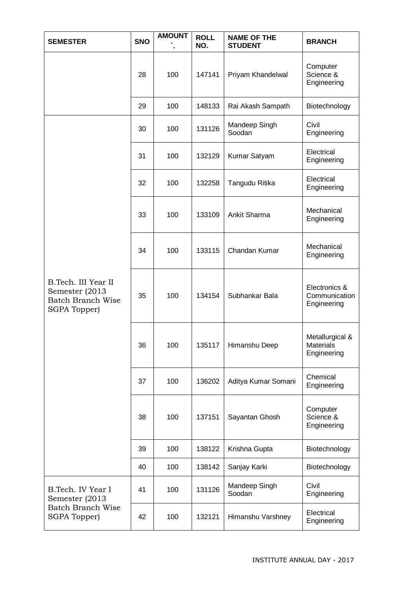| <b>SEMESTER</b>                                                                   | <b>SNO</b> | <b>AMOUNT</b> | <b>ROLL</b><br>NO. | <b>NAME OF THE</b><br><b>STUDENT</b> | <b>BRANCH</b>                                      |
|-----------------------------------------------------------------------------------|------------|---------------|--------------------|--------------------------------------|----------------------------------------------------|
|                                                                                   | 28         | 100           | 147141             | Priyam Khandelwal                    | Computer<br>Science &<br>Engineering               |
|                                                                                   | 29         | 100           | 148133             | Rai Akash Sampath                    | Biotechnology                                      |
|                                                                                   | 30         | 100           | 131126             | Mandeep Singh<br>Soodan              | Civil<br>Engineering                               |
|                                                                                   | 31         | 100           | 132129             | Kumar Satyam                         | Electrical<br>Engineering                          |
|                                                                                   | 32         | 100           | 132258             | Tangudu Ritika                       | Electrical<br>Engineering                          |
|                                                                                   | 33         | 100           | 133109             | Ankit Sharma                         | Mechanical<br>Engineering                          |
|                                                                                   | 34         | 100           | 133115             | Chandan Kumar                        | Mechanical<br>Engineering                          |
| B.Tech. III Year II<br>Semester (2013<br><b>Batch Branch Wise</b><br>SGPA Topper) | 35         | 100           | 134154             | Subhankar Bala                       | Electronics &<br>Communication<br>Engineering      |
|                                                                                   | 36         | 100           | 135117             | Himanshu Deep                        | Metallurgical &<br><b>Materials</b><br>Engineering |
|                                                                                   | 37         | 100           | 136202             | Aditya Kumar Somani                  | Chemical<br>Engineering                            |
|                                                                                   | 38         | 100           | 137151             | Sayantan Ghosh                       | Computer<br>Science &<br>Engineering               |
|                                                                                   | 39         | 100           | 138122             | Krishna Gupta                        | Biotechnology                                      |
|                                                                                   | 40         | 100           | 138142             | Sanjay Karki                         | Biotechnology                                      |
| B.Tech. IV Year I<br>Semester (2013                                               | 41         | 100           | 131126             | Mandeep Singh<br>Soodan              | Civil<br>Engineering                               |
| Batch Branch Wise<br>SGPA Topper)                                                 | 42         | 100           | 132121             | Himanshu Varshney                    | Electrical<br>Engineering                          |